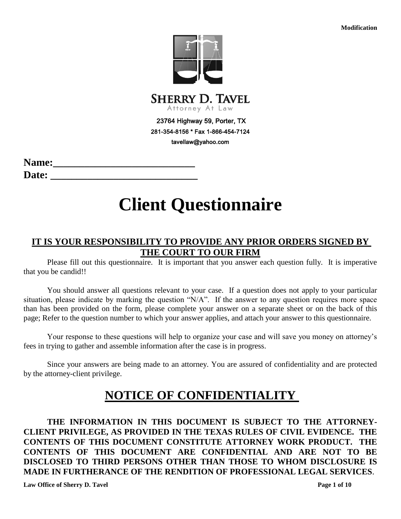**Modification**



281-354-8156 \* Fax 1-866-454-7124 tavellaw@yahoo.com

Name: **Date: \_\_\_\_\_\_\_\_\_\_\_\_\_\_\_\_\_\_\_\_\_\_\_\_\_\_\_\_**

# **Client Questionnaire**

## **IT IS YOUR RESPONSIBILITY TO PROVIDE ANY PRIOR ORDERS SIGNED BY THE COURT TO OUR FIRM**

Please fill out this questionnaire. It is important that you answer each question fully. It is imperative that you be candid!!

You should answer all questions relevant to your case. If a question does not apply to your particular situation, please indicate by marking the question "N/A". If the answer to any question requires more space than has been provided on the form, please complete your answer on a separate sheet or on the back of this page; Refer to the question number to which your answer applies, and attach your answer to this questionnaire.

Your response to these questions will help to organize your case and will save you money on attorney's fees in trying to gather and assemble information after the case is in progress.

Since your answers are being made to an attorney. You are assured of confidentiality and are protected by the attorney-client privilege.

## **NOTICE OF CONFIDENTIALITY**

**THE INFORMATION IN THIS DOCUMENT IS SUBJECT TO THE ATTORNEY-CLIENT PRIVILEGE, AS PROVIDED IN THE TEXAS RULES OF CIVIL EVIDENCE. THE CONTENTS OF THIS DOCUMENT CONSTITUTE ATTORNEY WORK PRODUCT. THE CONTENTS OF THIS DOCUMENT ARE CONFIDENTIAL AND ARE NOT TO BE DISCLOSED TO THIRD PERSONS OTHER THAN THOSE TO WHOM DISCLOSURE IS MADE IN FURTHERANCE OF THE RENDITION OF PROFESSIONAL LEGAL SERVICES**.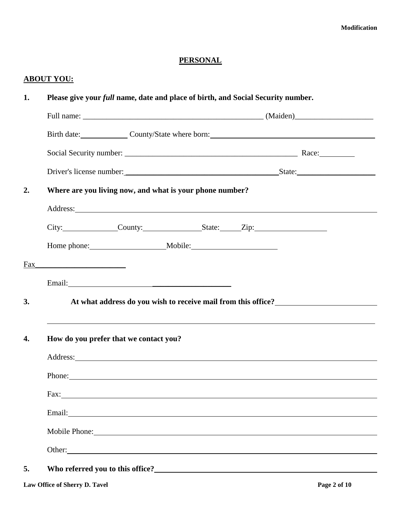## **PERSONAL**

## **ABOUT YOU:**

| 1.  | Please give your full name, date and place of birth, and Social Security number.                                                                                                                                                     |                                                               |  |  |  |              |
|-----|--------------------------------------------------------------------------------------------------------------------------------------------------------------------------------------------------------------------------------------|---------------------------------------------------------------|--|--|--|--------------|
|     |                                                                                                                                                                                                                                      |                                                               |  |  |  |              |
|     | Birth date: County/State where born:                                                                                                                                                                                                 |                                                               |  |  |  |              |
|     |                                                                                                                                                                                                                                      |                                                               |  |  |  |              |
|     |                                                                                                                                                                                                                                      |                                                               |  |  |  |              |
| 2.  | Where are you living now, and what is your phone number?                                                                                                                                                                             |                                                               |  |  |  |              |
|     | Address: <u>New York: Address: New York: New York: New York: New York: New York: New York: New York: New York: New York: New York: New York: New York: New York: New York: New York: New York: New York: New York: New York: New</u> |                                                               |  |  |  |              |
|     | City: County: County: State: Zip:                                                                                                                                                                                                    |                                                               |  |  |  |              |
|     |                                                                                                                                                                                                                                      |                                                               |  |  |  |              |
| Fax |                                                                                                                                                                                                                                      |                                                               |  |  |  |              |
|     |                                                                                                                                                                                                                                      |                                                               |  |  |  |              |
| 3.  |                                                                                                                                                                                                                                      | At what address do you wish to receive mail from this office? |  |  |  |              |
| 4.  | ,我们也不会有什么。""我们的人,我们也不会有什么?""我们的人,我们也不会有什么?""我们的人,我们也不会有什么?""我们的人,我们也不会有什么?""我们的人<br>How do you prefer that we contact you?                                                                                                           |                                                               |  |  |  |              |
|     |                                                                                                                                                                                                                                      |                                                               |  |  |  |              |
|     |                                                                                                                                                                                                                                      |                                                               |  |  |  |              |
|     |                                                                                                                                                                                                                                      |                                                               |  |  |  |              |
|     |                                                                                                                                                                                                                                      |                                                               |  |  |  |              |
|     | Mobile Phone: New York Changes and School Changes and School Changes and School Changes and School Changes and School Changes and School Changes and School Changes and School Changes and School Changes and School Changes a       |                                                               |  |  |  |              |
|     |                                                                                                                                                                                                                                      |                                                               |  |  |  |              |
| 5.  |                                                                                                                                                                                                                                      |                                                               |  |  |  |              |
|     | Law Office of Sherry D. Tavel                                                                                                                                                                                                        |                                                               |  |  |  | Page 2 of 10 |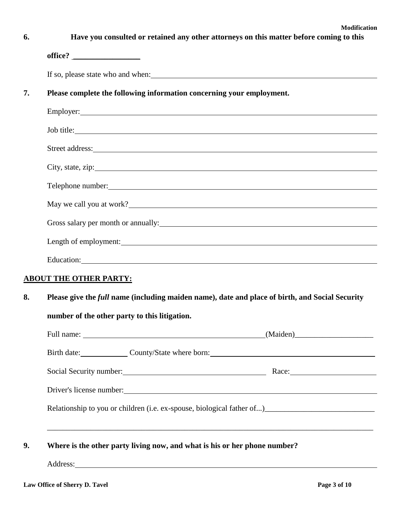| Have you consulted or retained any other attorneys on this matter before coming to this                                                                                                                                              |  |  |
|--------------------------------------------------------------------------------------------------------------------------------------------------------------------------------------------------------------------------------------|--|--|
|                                                                                                                                                                                                                                      |  |  |
|                                                                                                                                                                                                                                      |  |  |
| Please complete the following information concerning your employment.                                                                                                                                                                |  |  |
|                                                                                                                                                                                                                                      |  |  |
| Job title:                                                                                                                                                                                                                           |  |  |
| Street address: <u>the contract of the contract of the contract of the contract of the contract of the contract of the contract of the contract of the contract of the contract of the contract of the contract of the contract </u> |  |  |
|                                                                                                                                                                                                                                      |  |  |
| Telephone number:                                                                                                                                                                                                                    |  |  |
| May we call you at work?                                                                                                                                                                                                             |  |  |
| Gross salary per month or annually: 100 minutes and the same same state of the same state of the same state of the same state of the same state of the same state of the same state of the same state of the same state of the       |  |  |
| Length of employment:                                                                                                                                                                                                                |  |  |
| Education: <u>contract the contract of the contract of the contract of the contract of the contract of the contract of the contract of the contract of the contract of the contract of the contract of the contract of the contr</u> |  |  |
| <b>ABOUT THE OTHER PARTY:</b>                                                                                                                                                                                                        |  |  |
| Please give the <i>full</i> name (including maiden name), date and place of birth, and Social Security                                                                                                                               |  |  |
| number of the other party to this litigation.                                                                                                                                                                                        |  |  |
|                                                                                                                                                                                                                                      |  |  |
| Birth date: County/State where born: County/State where born:                                                                                                                                                                        |  |  |
| Social Security number: Nace: Race: Race:                                                                                                                                                                                            |  |  |
| Driver's license number:                                                                                                                                                                                                             |  |  |
|                                                                                                                                                                                                                                      |  |  |
| Where is the other party living now, and what is his or her phone number?                                                                                                                                                            |  |  |
|                                                                                                                                                                                                                                      |  |  |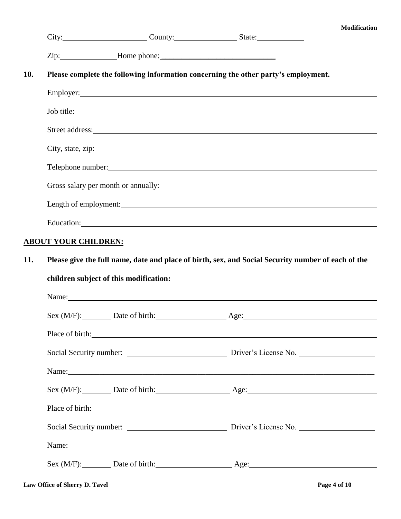| <b>Modification</b> |  |
|---------------------|--|
|---------------------|--|

|     |                                        |                                                                                                                                                                                                                                | City: City: County: County: State:                                                                                                                                                                                                   | мошисанон |  |  |
|-----|----------------------------------------|--------------------------------------------------------------------------------------------------------------------------------------------------------------------------------------------------------------------------------|--------------------------------------------------------------------------------------------------------------------------------------------------------------------------------------------------------------------------------------|-----------|--|--|
|     |                                        | Zip: Home phone: Next Alpha, Next Alpha, Next Alpha, Next Alpha, Next Alpha, Next Alpha, Next Alpha, Next Alpha, Next Alpha, Next Alpha, Next Alpha, Next Alpha, Next Alpha, Next Alpha, Next Alpha, Next Alpha, Next Alpha, N |                                                                                                                                                                                                                                      |           |  |  |
| 10. |                                        |                                                                                                                                                                                                                                | Please complete the following information concerning the other party's employment.                                                                                                                                                   |           |  |  |
|     |                                        |                                                                                                                                                                                                                                | Employer: Note that the same state of the same state of the same state of the same state of the same state of the same state of the same state of the same state of the same state of the same state of the same state of the        |           |  |  |
|     |                                        |                                                                                                                                                                                                                                | Job title:                                                                                                                                                                                                                           |           |  |  |
|     |                                        |                                                                                                                                                                                                                                | Street address: <u>the contract of the contract of the contract of the contract of the contract of the contract of the contract of the contract of the contract of the contract of the contract of the contract of the contract </u> |           |  |  |
|     |                                        |                                                                                                                                                                                                                                |                                                                                                                                                                                                                                      |           |  |  |
|     |                                        |                                                                                                                                                                                                                                | Telephone number: 1000 million contains the contract of the contract of the contract of the contract of the contract of the contract of the contract of the contract of the contract of the contract of the contract of the co       |           |  |  |
|     |                                        |                                                                                                                                                                                                                                | Gross salary per month or annually: 1992. The contract of the same contract of the same contract of the same contract of the same contract of the same contract of the same contract of the same contract of the same contract       |           |  |  |
|     |                                        |                                                                                                                                                                                                                                |                                                                                                                                                                                                                                      |           |  |  |
|     |                                        |                                                                                                                                                                                                                                |                                                                                                                                                                                                                                      |           |  |  |
|     | <b>ABOUT YOUR CHILDREN:</b>            |                                                                                                                                                                                                                                |                                                                                                                                                                                                                                      |           |  |  |
| 11. |                                        |                                                                                                                                                                                                                                | Please give the full name, date and place of birth, sex, and Social Security number of each of the                                                                                                                                   |           |  |  |
|     | children subject of this modification: |                                                                                                                                                                                                                                |                                                                                                                                                                                                                                      |           |  |  |
|     |                                        |                                                                                                                                                                                                                                | Name: Name and the set of the set of the set of the set of the set of the set of the set of the set of the set of the set of the set of the set of the set of the set of the set of the set of the set of the set of the set o       |           |  |  |
|     |                                        |                                                                                                                                                                                                                                | Sex (M/F): Date of birth: Age: Age:                                                                                                                                                                                                  |           |  |  |
|     |                                        |                                                                                                                                                                                                                                | Place of birth: <u>contained</u> and the contained and the contact of birth contained and the contact of the contact of the contact of the contact of the contact of the contact of the contact of the contact of the contact of th  |           |  |  |
|     |                                        |                                                                                                                                                                                                                                | Social Security number: Driver's License No.                                                                                                                                                                                         |           |  |  |
|     |                                        |                                                                                                                                                                                                                                | Name: Name and the set of the set of the set of the set of the set of the set of the set of the set of the set of the set of the set of the set of the set of the set of the set of the set of the set of the set of the set o       |           |  |  |
|     |                                        |                                                                                                                                                                                                                                | Sex (M/F): Date of birth: Age: Age:                                                                                                                                                                                                  |           |  |  |
|     |                                        |                                                                                                                                                                                                                                | Place of birth:                                                                                                                                                                                                                      |           |  |  |
|     |                                        |                                                                                                                                                                                                                                | Social Security number: Driver's License No.                                                                                                                                                                                         |           |  |  |
|     |                                        |                                                                                                                                                                                                                                | Name:                                                                                                                                                                                                                                |           |  |  |
|     |                                        |                                                                                                                                                                                                                                | Sex (M/F): Date of birth: Age: Age:                                                                                                                                                                                                  |           |  |  |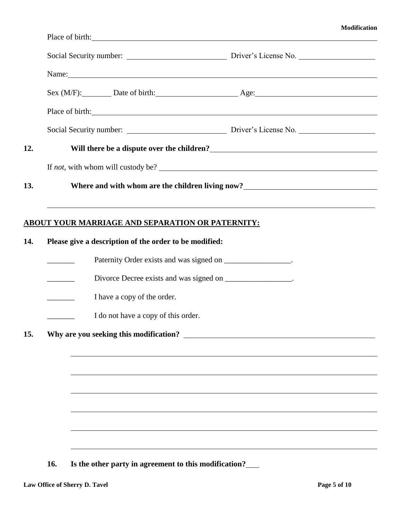|     |     |                                                             | Social Security number: Driver's License No.                                                                |
|-----|-----|-------------------------------------------------------------|-------------------------------------------------------------------------------------------------------------|
|     |     |                                                             | Name:                                                                                                       |
|     |     |                                                             | Sex (M/F): Date of birth: Age: Age:                                                                         |
|     |     |                                                             | Place of birth:                                                                                             |
|     |     |                                                             | Social Security number: Driver's License No.                                                                |
| 12. |     |                                                             | Will there be a dispute over the children?<br><u> </u>                                                      |
|     |     |                                                             | If <i>not</i> , with whom will custody be?                                                                  |
| 13. |     |                                                             | Where and with whom are the children living now?<br><u>Lange and with whom are the children living now?</u> |
|     |     |                                                             | ,我们也不会有什么。""我们的人,我们也不会有什么?""我们的人,我们也不会有什么?""我们的人,我们也不会有什么?""我们的人,我们也不会有什么?""我们的人                            |
|     |     | <u>ABOUT YOUR MARRIAGE AND SEPARATION OR PATERNITY:</u>     |                                                                                                             |
| 14. |     | Please give a description of the order to be modified:      |                                                                                                             |
|     |     |                                                             | Paternity Order exists and was signed on _________________.                                                 |
|     |     |                                                             | Divorce Decree exists and was signed on ________________.                                                   |
|     |     | I have a copy of the order.                                 |                                                                                                             |
|     |     | I do not have a copy of this order.                         |                                                                                                             |
| 15. |     |                                                             | Why are you seeking this modification?                                                                      |
|     |     |                                                             |                                                                                                             |
|     |     |                                                             |                                                                                                             |
|     |     |                                                             |                                                                                                             |
|     |     |                                                             |                                                                                                             |
|     |     |                                                             |                                                                                                             |
|     |     |                                                             |                                                                                                             |
|     | 16. | Is the other party in agreement to this modification?______ |                                                                                                             |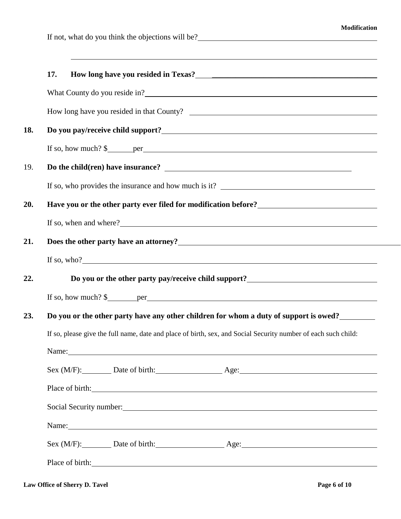If not, what do you think the objections will be?

|     | 17.                                                                                                                                                                                                                                                                   |  |  |  |
|-----|-----------------------------------------------------------------------------------------------------------------------------------------------------------------------------------------------------------------------------------------------------------------------|--|--|--|
|     |                                                                                                                                                                                                                                                                       |  |  |  |
|     |                                                                                                                                                                                                                                                                       |  |  |  |
| 18. |                                                                                                                                                                                                                                                                       |  |  |  |
|     | If so, how much? $\frac{1}{2}$ per <u>equal</u>                                                                                                                                                                                                                       |  |  |  |
| 19. |                                                                                                                                                                                                                                                                       |  |  |  |
|     |                                                                                                                                                                                                                                                                       |  |  |  |
| 20. | Have you or the other party ever filed for modification before?<br><u>Late of the state of the state of the state of the state of the state of the state of the state of the state of the state of the state of the state of the s</u>                                |  |  |  |
|     | If so, when and where?                                                                                                                                                                                                                                                |  |  |  |
| 21. | Does the other party have an attorney?<br><u>Letting</u> the state of the party have an attorney?<br><u>Letting the state of the state of the state of the state of the state of the state of the state of the state of the state of the </u>                         |  |  |  |
|     | If so, who? $\frac{1}{2}$ is a set of $\frac{1}{2}$ is a set of $\frac{1}{2}$ is a set of $\frac{1}{2}$ is a set of $\frac{1}{2}$ is a set of $\frac{1}{2}$ is a set of $\frac{1}{2}$ is a set of $\frac{1}{2}$ is a set of $\frac{1}{2}$ is a set of $\frac{1}{2}$ i |  |  |  |
| 22. | Do you or the other party pay/receive child support?<br><u>Do you or the other party pay/receive child support?</u>                                                                                                                                                   |  |  |  |
|     | If so, how much? $\frac{1}{2}$ per <u>experience</u> experience that the set of the set of the set of the set of the set of the set of the set of the set of the set of the set of the set of the set of the set of the set of the set                                |  |  |  |
| 23. | Do you or the other party have any other children for whom a duty of support is owed?                                                                                                                                                                                 |  |  |  |
|     | If so, please give the full name, date and place of birth, sex, and Social Security number of each such child:                                                                                                                                                        |  |  |  |
|     | Name: Name and the set of the set of the set of the set of the set of the set of the set of the set of the set of the set of the set of the set of the set of the set of the set of the set of the set of the set of the set o                                        |  |  |  |
|     | Sex (M/F): Date of birth: Age: Age:                                                                                                                                                                                                                                   |  |  |  |
|     | Place of birth:                                                                                                                                                                                                                                                       |  |  |  |
|     | Social Security number: 1986 and 2008 and 2008 and 2008 and 2008 and 2008 and 2008 and 2008 and 2008 and 2008 and 2008 and 2008 and 2008 and 2008 and 2008 and 2008 and 2008 and 2008 and 2008 and 2008 and 2008 and 2008 and                                         |  |  |  |
|     | Name: Name and the second contract of the second contract of the second contract of the second contract of the second contract of the second contract of the second contract of the second contract of the second contract of                                         |  |  |  |
|     | Sex (M/F): Date of birth: Age: Age:                                                                                                                                                                                                                                   |  |  |  |
|     | Place of birth:                                                                                                                                                                                                                                                       |  |  |  |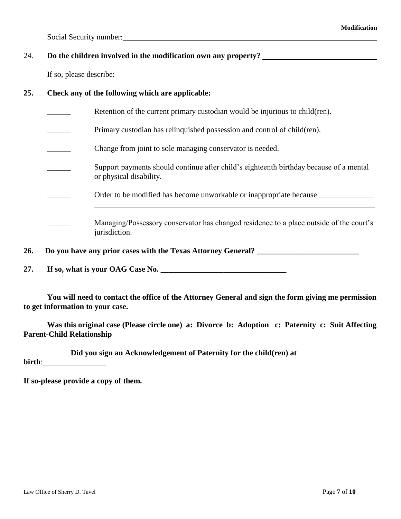$\overline{a}$ 

Social Security number:

### 24. **Do the children involved in the modification own any property?**

If so, please describe:

#### **25. Check any of the following which are applicable:**

- Retention of the current primary custodian would be injurious to child(ren).
- Primary custodian has relinquished possession and control of child(ren).
- \_\_\_\_\_\_ Change from joint to sole managing conservator is needed.
- Support payments should continue after child's eighteenth birthday because of a mental or physical disability.
	- Order to be modified has become unworkable or inappropriate because
- Managing/Possessory conservator has changed residence to a place outside of the court's jurisdiction.

**26. Do you have any prior cases with the Texas Attorney General? \_\_\_\_\_\_\_\_\_\_\_\_\_\_\_\_\_\_\_\_\_\_\_\_\_\_**

**27. If so, what is your OAG Case No. \_\_\_\_\_\_\_\_\_\_\_\_\_\_\_\_\_\_\_\_\_\_\_\_\_\_\_\_\_\_\_\_**

**You will need to contact the office of the Attorney General and sign the form giving me permission to get information to your case.**

**Was this original case (Please circle one) a: Divorce b: Adoption c: Paternity c: Suit Affecting Parent-Child Relationship**

**Did you sign an Acknowledgement of Paternity for the child(ren) at** 

**birth**:

**If so-please provide a copy of them.**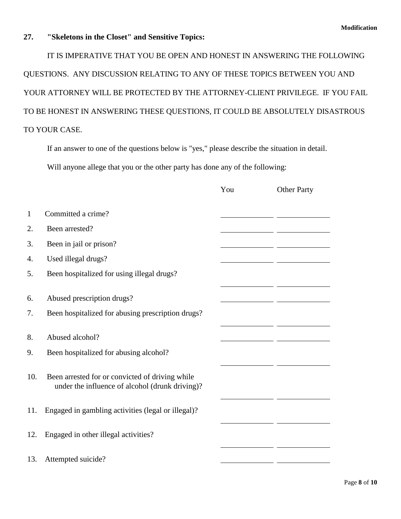#### **27. "Skeletons in the Closet" and Sensitive Topics:**

IT IS IMPERATIVE THAT YOU BE OPEN AND HONEST IN ANSWERING THE FOLLOWING QUESTIONS. ANY DISCUSSION RELATING TO ANY OF THESE TOPICS BETWEEN YOU AND YOUR ATTORNEY WILL BE PROTECTED BY THE ATTORNEY-CLIENT PRIVILEGE. IF YOU FAIL TO BE HONEST IN ANSWERING THESE QUESTIONS, IT COULD BE ABSOLUTELY DISASTROUS TO YOUR CASE.

If an answer to one of the questions below is "yes," please describe the situation in detail. Will anyone allege that you or the other party has done any of the following:

|              |                                                                                                    | You | <b>Other Party</b> |
|--------------|----------------------------------------------------------------------------------------------------|-----|--------------------|
| $\mathbf{1}$ | Committed a crime?                                                                                 |     |                    |
| 2.           | Been arrested?                                                                                     |     |                    |
| 3.           | Been in jail or prison?                                                                            |     |                    |
| 4.           | Used illegal drugs?                                                                                |     |                    |
| 5.           | Been hospitalized for using illegal drugs?                                                         |     |                    |
| 6.<br>7.     | Abused prescription drugs?<br>Been hospitalized for abusing prescription drugs?                    |     |                    |
|              |                                                                                                    |     |                    |
| 8.           | Abused alcohol?                                                                                    |     |                    |
| 9.           | Been hospitalized for abusing alcohol?                                                             |     |                    |
| 10.          | Been arrested for or convicted of driving while<br>under the influence of alcohol (drunk driving)? |     |                    |
| 11.          | Engaged in gambling activities (legal or illegal)?                                                 |     |                    |
| 12.          | Engaged in other illegal activities?                                                               |     |                    |
| 13.          | Attempted suicide?                                                                                 |     |                    |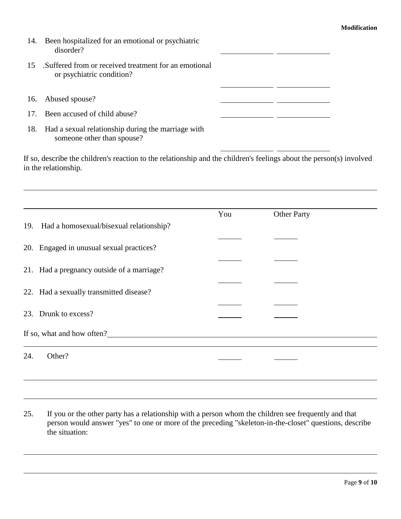$\overline{\phantom{a}}$ 

- 14. Been hospitalized for an emotional or psychiatric disorder?
- 15 .Suffered from or received treatment for an emotional or psychiatric condition?
- 16. Abused spouse?

| 17. Been accused of child abuse? |  |  |
|----------------------------------|--|--|
|----------------------------------|--|--|

18. Had a sexual relationship during the marriage with someone other than spouse?

If so, describe the children's reaction to the relationship and the children's feelings about the person(s) involved in the relationship.

|     |                                            | You | <b>Other Party</b> |  |
|-----|--------------------------------------------|-----|--------------------|--|
| 19. | Had a homosexual/bisexual relationship?    |     |                    |  |
|     | 20. Engaged in unusual sexual practices?   |     |                    |  |
|     | 21. Had a pregnancy outside of a marriage? |     |                    |  |
|     | 22. Had a sexually transmitted disease?    |     |                    |  |
|     | 23. Drunk to excess?                       |     |                    |  |
|     | If so, what and how often?                 |     |                    |  |
| 24. | Other?                                     |     |                    |  |

25. If you or the other party has a relationship with a person whom the children see frequently and that person would answer "yes" to one or more of the preceding "skeleton-in-the-closet" questions, describe the situation: